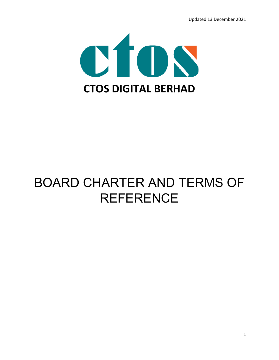

## BOARD CHARTER AND TERMS OF **REFERENCE**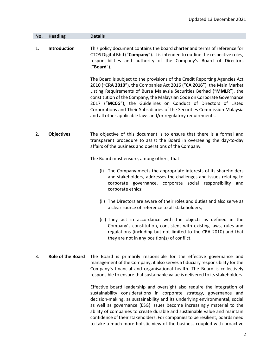| No. | <b>Heading</b>           | <b>Details</b>                                                                                                                                                                                                                                                                                                                                                                                                                                                                                                                                                                                                                                                                                                                                                                 |  |  |
|-----|--------------------------|--------------------------------------------------------------------------------------------------------------------------------------------------------------------------------------------------------------------------------------------------------------------------------------------------------------------------------------------------------------------------------------------------------------------------------------------------------------------------------------------------------------------------------------------------------------------------------------------------------------------------------------------------------------------------------------------------------------------------------------------------------------------------------|--|--|
| 1.  | <b>Introduction</b>      | This policy document contains the board charter and terms of reference for<br>CTOS Digital Bhd ("Company"). It is intended to outline the respective roles,<br>responsibilities and authority of the Company's Board of Directors<br>("Board").<br>The Board is subject to the provisions of the Credit Reporting Agencies Act<br>2010 ("CRA 2010"), the Companies Act 2016 ("CA 2016"), the Main Market<br>Listing Requirements of Bursa Malaysia Securities Berhad ("MMLR"), the<br>constitution of the Company, the Malaysian Code on Corporate Governance<br>2017 ("MCCG"), the Guidelines on Conduct of Directors of Listed<br>Corporations and Their Subsidiaries of the Securities Commission Malaysia<br>and all other applicable laws and/or regulatory requirements. |  |  |
|     |                          |                                                                                                                                                                                                                                                                                                                                                                                                                                                                                                                                                                                                                                                                                                                                                                                |  |  |
| 2.  | <b>Objectives</b>        | The objective of this document is to ensure that there is a formal and<br>transparent procedure to assist the Board in overseeing the day-to-day<br>affairs of the business and operations of the Company.<br>The Board must ensure, among others, that:<br>The Company meets the appropriate interests of its shareholders<br>(i)                                                                                                                                                                                                                                                                                                                                                                                                                                             |  |  |
|     |                          | and stakeholders, addresses the challenges and issues relating to<br>corporate governance, corporate social responsibility and<br>corporate ethics;                                                                                                                                                                                                                                                                                                                                                                                                                                                                                                                                                                                                                            |  |  |
|     |                          | (ii) The Directors are aware of their roles and duties and also serve as<br>a clear source of reference to all stakeholders;                                                                                                                                                                                                                                                                                                                                                                                                                                                                                                                                                                                                                                                   |  |  |
|     |                          | (iii) They act in accordance with the objects as defined in the<br>Company's constitution, consistent with existing laws, rules and<br>regulations (including but not limited to the CRA 2010) and that<br>they are not in any position(s) of conflict.                                                                                                                                                                                                                                                                                                                                                                                                                                                                                                                        |  |  |
| 3.  | <b>Role of the Board</b> | The Board is primarily responsible for the effective governance and<br>management of the Company; it also serves a fiduciary responsibility for the<br>Company's financial and organisational health. The Board is collectively<br>responsible to ensure that sustainable value is delivered to its stakeholders.                                                                                                                                                                                                                                                                                                                                                                                                                                                              |  |  |
|     |                          | Effective board leadership and oversight also require the integration of<br>sustainability considerations in corporate strategy, governance and<br>decision-making, as sustainability and its underlying environmental, social<br>as well as governance (ESG) issues become increasingly material to the<br>ability of companies to create durable and sustainable value and maintain<br>confidence of their stakeholders. For companies to be resilient, boards need<br>to take a much more holistic view of the business coupled with proactive                                                                                                                                                                                                                              |  |  |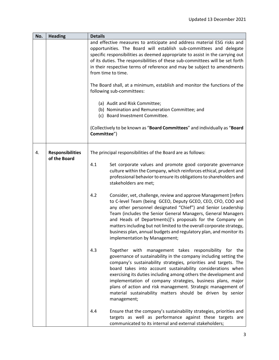| No. | <b>Heading</b>                          | <b>Details</b>                                                                                                     |                                                                                                                                                                                                                                                                                                                                                                                                                                                                                                                                               |  |
|-----|-----------------------------------------|--------------------------------------------------------------------------------------------------------------------|-----------------------------------------------------------------------------------------------------------------------------------------------------------------------------------------------------------------------------------------------------------------------------------------------------------------------------------------------------------------------------------------------------------------------------------------------------------------------------------------------------------------------------------------------|--|
|     |                                         | from time to time.                                                                                                 | and effective measures to anticipate and address material ESG risks and<br>opportunities. The Board will establish sub-committees and delegate<br>specific responsibilities as deemed appropriate to assist in the carrying out<br>of its duties. The responsibilities of these sub-committees will be set forth<br>in their respective terms of reference and may be subject to amendments                                                                                                                                                   |  |
|     |                                         | The Board shall, at a minimum, establish and monitor the functions of the<br>following sub-committees:             |                                                                                                                                                                                                                                                                                                                                                                                                                                                                                                                                               |  |
|     |                                         | (a) Audit and Risk Committee;<br>(b) Nomination and Remuneration Committee; and<br>(c) Board Investment Committee. |                                                                                                                                                                                                                                                                                                                                                                                                                                                                                                                                               |  |
|     |                                         | (Collectively to be known as "Board Committees" and individually as "Board<br>Committee")                          |                                                                                                                                                                                                                                                                                                                                                                                                                                                                                                                                               |  |
| 4.  | <b>Responsibilities</b><br>of the Board |                                                                                                                    | The principal responsibilities of the Board are as follows:                                                                                                                                                                                                                                                                                                                                                                                                                                                                                   |  |
|     |                                         | 4.1                                                                                                                | Set corporate values and promote good corporate governance<br>culture within the Company, which reinforces ethical, prudent and<br>professional behavior to ensure its obligations to shareholders and<br>stakeholders are met;                                                                                                                                                                                                                                                                                                               |  |
|     |                                         | 4.2                                                                                                                | Consider, vet, challenge, review and approve Management [refers<br>to C-level Team (being GCEO, Deputy GCEO, CEO, CFO, COO and<br>any other personnel designated "Chief") and Senior Leadership<br>Team (includes the Senior General Managers, General Managers<br>and Heads of Departments)]'s proposals for the Company on<br>matters including but not limited to the overall corporate strategy,<br>business plan, annual budgets and regulatory plan, and monitor its<br>implementation by Management;                                   |  |
|     |                                         | 4.3                                                                                                                | Together with management takes responsibility for the<br>governance of sustainability in the company including setting the<br>company's sustainability strategies, priorities and targets. The<br>board takes into account sustainability considerations when<br>exercising its duties including among others the development and<br>implementation of company strategies, business plans, major<br>plans of action and risk management. Strategic management of<br>material sustainability matters should be driven by senior<br>management; |  |
|     |                                         | 4.4                                                                                                                | Ensure that the company's sustainability strategies, priorities and<br>targets as well as performance against these targets are<br>communicated to its internal and external stakeholders;                                                                                                                                                                                                                                                                                                                                                    |  |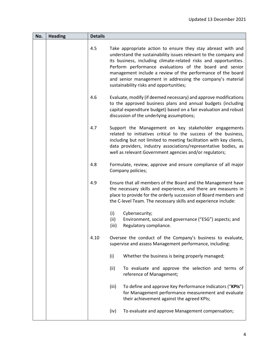| No. | <b>Heading</b> | <b>Details</b> |                                                                                                                                                                                                                                                                                                                                                                                                                                         |  |  |
|-----|----------------|----------------|-----------------------------------------------------------------------------------------------------------------------------------------------------------------------------------------------------------------------------------------------------------------------------------------------------------------------------------------------------------------------------------------------------------------------------------------|--|--|
|     |                | 4.5            | Take appropriate action to ensure they stay abreast with and<br>understand the sustainability issues relevant to the company and<br>its business, including climate-related risks and opportunities.<br>Perform performance evaluations of the board and senior<br>management include a review of the performance of the board<br>and senior management in addressing the company's material<br>sustainability risks and opportunities; |  |  |
|     |                | 4.6            | Evaluate, modify (if deemed necessary) and approve modifications<br>to the approved business plans and annual budgets (including<br>capital expenditure budget) based on a fair evaluation and robust<br>discussion of the underlying assumptions;                                                                                                                                                                                      |  |  |
|     |                | 4.7            | Support the Management on key stakeholder engagements<br>related to initiatives critical to the success of the business,<br>including but not limited to meeting facilitation with key clients,<br>data providers, industry associations/representative bodies, as<br>well as relevant Government agencies and/or regulators;                                                                                                           |  |  |
|     |                | 4.8            | Formulate, review, approve and ensure compliance of all major<br>Company policies;                                                                                                                                                                                                                                                                                                                                                      |  |  |
|     |                | 4.9            | Ensure that all members of the Board and the Management have<br>the necessary skills and experience, and there are measures in<br>place to provide for the orderly succession of Board members and<br>the C-level Team. The necessary skills and experience include:                                                                                                                                                                    |  |  |
|     |                |                | (i)<br>Cybersecurity;<br>(ii)<br>Environment, social and governance ("ESG") aspects; and<br>(iii)<br>Regulatory compliance.                                                                                                                                                                                                                                                                                                             |  |  |
|     |                | 4.10           | Oversee the conduct of the Company's business to evaluate,<br>supervise and assess Management performance, including:                                                                                                                                                                                                                                                                                                                   |  |  |
|     |                |                | Whether the business is being properly managed;<br>(i)                                                                                                                                                                                                                                                                                                                                                                                  |  |  |
|     |                |                | To evaluate and approve the selection and terms of<br>(ii)<br>reference of Management;                                                                                                                                                                                                                                                                                                                                                  |  |  |
|     |                |                | To define and approve Key Performance Indicators ("KPIs")<br>(iii)<br>for Management performance measurement and evaluate<br>their achievement against the agreed KPIs;                                                                                                                                                                                                                                                                 |  |  |
|     |                |                | (iv)<br>To evaluate and approve Management compensation;                                                                                                                                                                                                                                                                                                                                                                                |  |  |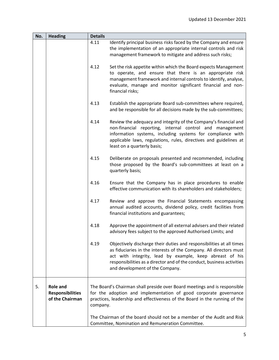| No. | <b>Heading</b>                                                | <b>Details</b> |                                                                                                                                                                                                                                                                                                                     |
|-----|---------------------------------------------------------------|----------------|---------------------------------------------------------------------------------------------------------------------------------------------------------------------------------------------------------------------------------------------------------------------------------------------------------------------|
|     |                                                               | 4.11           | Identify principal business risks faced by the Company and ensure<br>the implementation of an appropriate internal controls and risk<br>management framework to mitigate and address such risks;                                                                                                                    |
|     |                                                               | 4.12           | Set the risk appetite within which the Board expects Management<br>to operate, and ensure that there is an appropriate risk<br>management framework and internal controls to identify, analyse,<br>evaluate, manage and monitor significant financial and non-<br>financial risks;                                  |
|     |                                                               | 4.13           | Establish the appropriate Board sub-committees where required,<br>and be responsible for all decisions made by the sub-committees;                                                                                                                                                                                  |
|     |                                                               | 4.14           | Review the adequacy and integrity of the Company's financial and<br>non-financial reporting, internal control and management<br>information systems, including systems for compliance with<br>applicable laws, regulations, rules, directives and guidelines at<br>least on a quarterly basis;                      |
|     |                                                               | 4.15           | Deliberate on proposals presented and recommended, including<br>those proposed by the Board's sub-committees at least on a<br>quarterly basis;                                                                                                                                                                      |
|     |                                                               | 4.16           | Ensure that the Company has in place procedures to enable<br>effective communication with its shareholders and stakeholders;                                                                                                                                                                                        |
|     |                                                               | 4.17           | Review and approve the Financial Statements encompassing<br>annual audited accounts, dividend policy, credit facilities from<br>financial institutions and guarantees;                                                                                                                                              |
|     |                                                               | 4.18           | Approve the appointment of all external advisers and their related<br>advisory fees subject to the approved Authorised Limits; and                                                                                                                                                                                  |
|     |                                                               | 4.19           | Objectively discharge their duties and responsibilities at all times<br>as fiduciaries in the interests of the Company. All directors must<br>act with integrity, lead by example, keep abreast of his<br>responsibilities as a director and of the conduct, business activities<br>and development of the Company. |
| 5.  | <b>Role and</b><br><b>Responsibilities</b><br>of the Chairman | company.       | The Board's Chairman shall preside over Board meetings and is responsible<br>for the adoption and implementation of good corporate governance<br>practices, leadership and effectiveness of the Board in the running of the                                                                                         |
|     |                                                               |                | The Chairman of the board should not be a member of the Audit and Risk<br>Committee, Nomination and Remuneration Committee.                                                                                                                                                                                         |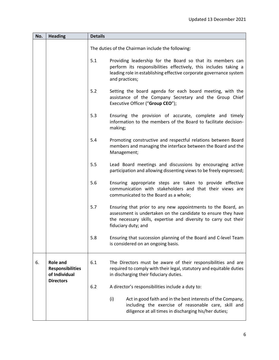| No. | <b>Heading</b>                                                                  | <b>Details</b> |                                                                                                                                                                                                                          |  |  |
|-----|---------------------------------------------------------------------------------|----------------|--------------------------------------------------------------------------------------------------------------------------------------------------------------------------------------------------------------------------|--|--|
|     |                                                                                 |                | The duties of the Chairman include the following:                                                                                                                                                                        |  |  |
|     |                                                                                 | 5.1            | Providing leadership for the Board so that its members can<br>perform its responsibilities effectively, this includes taking a<br>leading role in establishing effective corporate governance system<br>and practices;   |  |  |
|     |                                                                                 | 5.2            | Setting the board agenda for each board meeting, with the<br>assistance of the Company Secretary and the Group Chief<br>Executive Officer ("Group CEO");                                                                 |  |  |
|     |                                                                                 | 5.3            | Ensuring the provision of accurate, complete and timely<br>information to the members of the Board to facilitate decision-<br>making;                                                                                    |  |  |
|     |                                                                                 | 5.4            | Promoting constructive and respectful relations between Board<br>members and managing the interface between the Board and the<br>Management;                                                                             |  |  |
|     |                                                                                 | 5.5            | Lead Board meetings and discussions by encouraging active<br>participation and allowing dissenting views to be freely expressed;                                                                                         |  |  |
|     |                                                                                 | 5.6            | Ensuring appropriate steps are taken to provide effective<br>communication with stakeholders and that their views are<br>communicated to the Board as a whole;                                                           |  |  |
|     |                                                                                 | 5.7            | Ensuring that prior to any new appointments to the Board, an<br>assessment is undertaken on the candidate to ensure they have<br>the necessary skills, expertise and diversity to carry out their<br>fiduciary duty; and |  |  |
|     |                                                                                 | 5.8            | Ensuring that succession planning of the Board and C-level Team<br>is considered on an ongoing basis.                                                                                                                    |  |  |
| 6.  | <b>Role and</b><br><b>Responsibilities</b><br>of Individual<br><b>Directors</b> | 6.1            | The Directors must be aware of their responsibilities and are<br>required to comply with their legal, statutory and equitable duties<br>in discharging their fiduciary duties.                                           |  |  |
|     |                                                                                 | 6.2            | A director's responsibilities include a duty to:                                                                                                                                                                         |  |  |
|     |                                                                                 |                | (i)<br>Act in good faith and in the best interests of the Company,<br>including the exercise of reasonable care, skill and<br>diligence at all times in discharging his/her duties;                                      |  |  |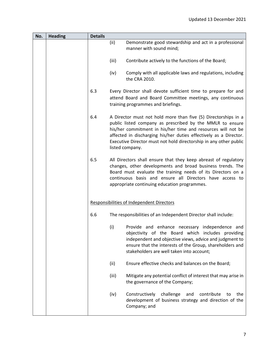| No. | <b>Heading</b> | <b>Details</b> |                                                                                                                                                                                                                                                                                                                                                          |
|-----|----------------|----------------|----------------------------------------------------------------------------------------------------------------------------------------------------------------------------------------------------------------------------------------------------------------------------------------------------------------------------------------------------------|
|     |                |                | (ii)<br>Demonstrate good stewardship and act in a professional<br>manner with sound mind;                                                                                                                                                                                                                                                                |
|     |                |                | (iii)<br>Contribute actively to the functions of the Board;                                                                                                                                                                                                                                                                                              |
|     |                |                | Comply with all applicable laws and regulations, including<br>(iv)<br>the CRA 2010.                                                                                                                                                                                                                                                                      |
|     |                | 6.3            | Every Director shall devote sufficient time to prepare for and<br>attend Board and Board Committee meetings, any continuous<br>training programmes and briefings.                                                                                                                                                                                        |
|     |                | 6.4            | A Director must not hold more than five (5) Directorships in a<br>public listed company as prescribed by the MMLR to ensure<br>his/her commitment in his/her time and resources will not be<br>affected in discharging his/her duties effectively as a Director.<br>Executive Director must not hold directorship in any other public<br>listed company. |
|     |                | 6.5            | All Directors shall ensure that they keep abreast of regulatory<br>changes, other developments and broad business trends. The<br>Board must evaluate the training needs of its Directors on a<br>continuous basis and ensure all Directors have access to<br>appropriate continuing education programmes.                                                |
|     |                |                | <b>Responsibilities of Independent Directors</b>                                                                                                                                                                                                                                                                                                         |
|     |                | 6.6            | The responsibilities of an Independent Director shall include:                                                                                                                                                                                                                                                                                           |
|     |                |                | (i)<br>Provide and enhance necessary independence and<br>objectivity of the Board which includes providing<br>independent and objective views, advice and judgment to<br>ensure that the interests of the Group, shareholders and<br>stakeholders are well taken into account;                                                                           |
|     |                |                | Ensure effective checks and balances on the Board;<br>(ii)                                                                                                                                                                                                                                                                                               |
|     |                |                | (iii)<br>Mitigate any potential conflict of interest that may arise in<br>the governance of the Company;                                                                                                                                                                                                                                                 |
|     |                |                | (iv)<br>Constructively<br>challenge<br>contribute<br>and<br>the<br>to<br>development of business strategy and direction of the<br>Company; and                                                                                                                                                                                                           |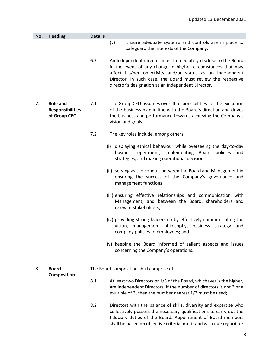| No. | <b>Heading</b>                                             | <b>Details</b> |                                                                                                                                                                                                                                                                                                                    |
|-----|------------------------------------------------------------|----------------|--------------------------------------------------------------------------------------------------------------------------------------------------------------------------------------------------------------------------------------------------------------------------------------------------------------------|
|     |                                                            |                | (v)<br>Ensure adequate systems and controls are in place to<br>safeguard the interests of the Company.                                                                                                                                                                                                             |
|     |                                                            | 6.7            | An independent director must immediately disclose to the Board<br>in the event of any change in his/her circumstances that may<br>affect his/her objectivity and/or status as an Independent<br>Director. In such case, the Board must review the respective<br>director's designation as an Independent Director. |
| 7.  | <b>Role and</b><br><b>Responsibilities</b><br>of Group CEO | 7.1            | The Group CEO assumes overall responsibilities for the execution<br>of the business plan in line with the Board's direction and drives<br>the business and performance towards achieving the Company's<br>vision and goals.                                                                                        |
|     |                                                            | 7.2            | The key roles include, among others:                                                                                                                                                                                                                                                                               |
|     |                                                            |                | (i) displaying ethical behaviour while overseeing the day-to-day<br>business operations, implementing Board<br>policies and<br>strategies, and making operational decisions;                                                                                                                                       |
|     |                                                            |                | (ii) serving as the conduit between the Board and Management in<br>ensuring the success of the Company's governance and<br>management functions;                                                                                                                                                                   |
|     |                                                            |                | (iii) ensuring effective relationships and communication with<br>Management, and between the Board, shareholders and<br>relevant stakeholders;                                                                                                                                                                     |
|     |                                                            |                | (iv) providing strong leadership by effectively communicating the<br>vision, management philosophy,<br>business<br>strategy<br>and<br>company policies to employees; and                                                                                                                                           |
|     |                                                            |                | (v) keeping the Board informed of salient aspects and issues<br>concerning the Company's operations.                                                                                                                                                                                                               |
| 8.  | <b>Board</b><br>Composition                                |                | The Board composition shall comprise of:                                                                                                                                                                                                                                                                           |
|     |                                                            | 8.1            | At least two Directors or 1/3 of the Board, whichever is the higher,<br>are Independent Directors. If the number of directors is not 3 or a<br>multiple of 3, then the number nearest 1/3 must be used;                                                                                                            |
|     |                                                            | 8.2            | Directors with the balance of skills, diversity and expertise who<br>collectively possess the necessary qualifications to carry out the<br>fiduciary duties of the Board. Appointment of Board members<br>shall be based on objective criteria, merit and with due regard for                                      |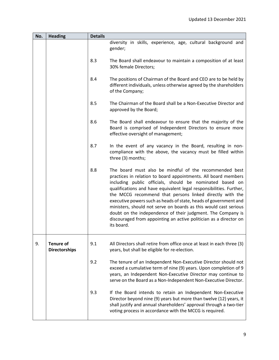| No. | <b>Heading</b>                           | <b>Details</b> |                                                                                                                                                                                                                                                                                                                                                                                                                                                                                                                                                                                                                   |
|-----|------------------------------------------|----------------|-------------------------------------------------------------------------------------------------------------------------------------------------------------------------------------------------------------------------------------------------------------------------------------------------------------------------------------------------------------------------------------------------------------------------------------------------------------------------------------------------------------------------------------------------------------------------------------------------------------------|
|     |                                          |                | diversity in skills, experience, age, cultural background and<br>gender;                                                                                                                                                                                                                                                                                                                                                                                                                                                                                                                                          |
|     |                                          | 8.3            | The Board shall endeavour to maintain a composition of at least<br>30% female Directors;                                                                                                                                                                                                                                                                                                                                                                                                                                                                                                                          |
|     |                                          | 8.4            | The positions of Chairman of the Board and CEO are to be held by<br>different individuals, unless otherwise agreed by the shareholders<br>of the Company;                                                                                                                                                                                                                                                                                                                                                                                                                                                         |
|     |                                          | 8.5            | The Chairman of the Board shall be a Non-Executive Director and<br>approved by the Board;                                                                                                                                                                                                                                                                                                                                                                                                                                                                                                                         |
|     |                                          | 8.6            | The Board shall endeavour to ensure that the majority of the<br>Board is comprised of Independent Directors to ensure more<br>effective oversight of management;                                                                                                                                                                                                                                                                                                                                                                                                                                                  |
|     |                                          | 8.7            | In the event of any vacancy in the Board, resulting in non-<br>compliance with the above, the vacancy must be filled within<br>three (3) months;                                                                                                                                                                                                                                                                                                                                                                                                                                                                  |
|     |                                          | 8.8            | The board must also be mindful of the recommended best<br>practices in relation to board appointments. All board members<br>including public officials, should be nominated based on<br>qualifications and have equivalent legal responsibilities. Further,<br>the MCCG recommend that persons linked directly with the<br>executive powers such as heads of state, heads of government and<br>ministers, should not serve on boards as this would cast serious<br>doubt on the independence of their judgment. The Company is<br>discouraged from appointing an active politician as a director on<br>its board. |
| 9.  | <b>Tenure of</b><br><b>Directorships</b> | 9.1            | All Directors shall retire from office once at least in each three (3)<br>years, but shall be eligible for re-election.                                                                                                                                                                                                                                                                                                                                                                                                                                                                                           |
|     |                                          | 9.2            | The tenure of an Independent Non-Executive Director should not<br>exceed a cumulative term of nine (9) years. Upon completion of 9<br>years, an Independent Non-Executive Director may continue to<br>serve on the Board as a Non-Independent Non-Executive Director.                                                                                                                                                                                                                                                                                                                                             |
|     |                                          | 9.3            | If the Board intends to retain an Independent Non-Executive<br>Director beyond nine (9) years but more than twelve (12) years, it<br>shall justify and annual shareholders' approval through a two-tier<br>voting process in accordance with the MCCG is required.                                                                                                                                                                                                                                                                                                                                                |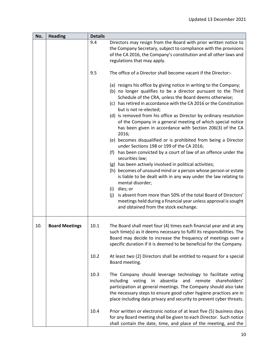| No. | <b>Heading</b>        | <b>Details</b> |                                                                                                                                                                                                                                                                                                                                                                                                                                                                                                                                                                                                                                                                                                                                                                                                                                                                                                                                                                                                                                                                                                                                             |
|-----|-----------------------|----------------|---------------------------------------------------------------------------------------------------------------------------------------------------------------------------------------------------------------------------------------------------------------------------------------------------------------------------------------------------------------------------------------------------------------------------------------------------------------------------------------------------------------------------------------------------------------------------------------------------------------------------------------------------------------------------------------------------------------------------------------------------------------------------------------------------------------------------------------------------------------------------------------------------------------------------------------------------------------------------------------------------------------------------------------------------------------------------------------------------------------------------------------------|
|     |                       | 9.4            | Directors may resign from the Board with prior written notice to<br>the Company Secretary, subject to compliance with the provisions<br>of the CA 2016, the Company's constitution and all other laws and<br>regulations that may apply.                                                                                                                                                                                                                                                                                                                                                                                                                                                                                                                                                                                                                                                                                                                                                                                                                                                                                                    |
|     |                       | 9.5            | The office of a Director shall become vacant if the Director:-                                                                                                                                                                                                                                                                                                                                                                                                                                                                                                                                                                                                                                                                                                                                                                                                                                                                                                                                                                                                                                                                              |
|     |                       |                | (a) resigns his office by giving notice in writing to the Company;<br>(b) no longer qualifies to be a director pursuant to the Third<br>Schedule of the CRA, unless the Board deems otherwise;<br>(c) has retired in accordance with the CA 2016 or the Constitution<br>but is not re-elected;<br>(d) is removed from his office as Director by ordinary resolution<br>of the Company in a general meeting of which special notice<br>has been given in accordance with Section 206(3) of the CA<br>2016;<br>(e) becomes disqualified or is prohibited from being a Director<br>under Sections 198 or 199 of the CA 2016;<br>(f) has been convicted by a court of law of an offence under the<br>securities law;<br>(g) has been actively involved in political activities;<br>(h) becomes of unsound mind or a person whose person or estate<br>is liable to be dealt with in any way under the law relating to<br>mental disorder;<br>dies; or<br>(i)<br>is absent from more than 50% of the total Board of Directors'<br>(i)<br>meetings held during a financial year unless approval is sought<br>and obtained from the stock exchange. |
| 10. | <b>Board Meetings</b> | 10.1           | The Board shall meet four (4) times each financial year and at any<br>such time(s) as it deems necessary to fulfil its responsibilities. The<br>Board may decide to increase the frequency of meetings over a<br>specific duration if it is deemed to be beneficial for the Company.                                                                                                                                                                                                                                                                                                                                                                                                                                                                                                                                                                                                                                                                                                                                                                                                                                                        |
|     |                       | 10.2           | At least two (2) Directors shall be entitled to request for a special<br>Board meeting.                                                                                                                                                                                                                                                                                                                                                                                                                                                                                                                                                                                                                                                                                                                                                                                                                                                                                                                                                                                                                                                     |
|     |                       | 10.3           | The Company should leverage technology to facilitate voting<br>including voting in<br>absentia<br>and remote shareholders'<br>participation at general meetings. The Company should also take<br>the necessary steps to ensure good cyber hygiene practices are in<br>place including data privacy and security to prevent cyber threats.                                                                                                                                                                                                                                                                                                                                                                                                                                                                                                                                                                                                                                                                                                                                                                                                   |
|     |                       | 10.4           | Prior written or electronic notice of at least five (5) business days<br>for any Board meeting shall be given to each Director. Such notice<br>shall contain the date, time, and place of the meeting, and the                                                                                                                                                                                                                                                                                                                                                                                                                                                                                                                                                                                                                                                                                                                                                                                                                                                                                                                              |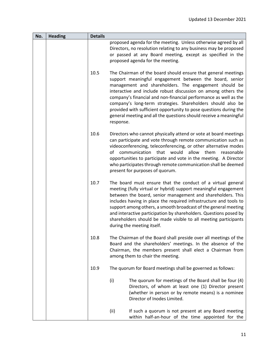| No. | <b>Heading</b> | <b>Details</b> |                                                                                                                                                                                                                                                                                                                                                                                                                                                                                                                                              |
|-----|----------------|----------------|----------------------------------------------------------------------------------------------------------------------------------------------------------------------------------------------------------------------------------------------------------------------------------------------------------------------------------------------------------------------------------------------------------------------------------------------------------------------------------------------------------------------------------------------|
|     |                |                | proposed agenda for the meeting. Unless otherwise agreed by all<br>Directors, no resolution relating to any business may be proposed<br>or passed at any Board meeting, except as specified in the<br>proposed agenda for the meeting.                                                                                                                                                                                                                                                                                                       |
|     |                | 10.5           | The Chairman of the board should ensure that general meetings<br>support meaningful engagement between the board, senior<br>management and shareholders. The engagement should be<br>interactive and include robust discussion on among others the<br>company's financial and non-financial performance as well as the<br>company's long-term strategies. Shareholders should also be<br>provided with sufficient opportunity to pose questions during the<br>general meeting and all the questions should receive a meaningful<br>response. |
|     |                | 10.6           | Directors who cannot physically attend or vote at board meetings<br>can participate and vote through remote communication such as<br>videoconferencing, teleconferencing, or other alternative modes<br>communication that would<br>allow<br>them<br>of<br>reasonable<br>opportunities to participate and vote in the meeting. A Director<br>who participates through remote communication shall be deemed<br>present for purposes of quorum.                                                                                                |
|     |                | 10.7           | The board must ensure that the conduct of a virtual general<br>meeting (fully virtual or hybrid) support meaningful engagement<br>between the board, senior management and shareholders. This<br>includes having in place the required infrastructure and tools to<br>support among others, a smooth broadcast of the general meeting<br>and interactive participation by shareholders. Questions posed by<br>shareholders should be made visible to all meeting participants<br>during the meeting itself.                                  |
|     |                | 10.8           | The Chairman of the Board shall preside over all meetings of the<br>Board and the shareholders' meetings. In the absence of the<br>Chairman, the members present shall elect a Chairman from<br>among them to chair the meeting.                                                                                                                                                                                                                                                                                                             |
|     |                | 10.9           | The quorum for Board meetings shall be governed as follows:                                                                                                                                                                                                                                                                                                                                                                                                                                                                                  |
|     |                |                | (i)<br>The quorum for meetings of the Board shall be four (4)<br>Directors, of whom at least one (1) Director present<br>(whether in person or by remote means) is a nominee<br>Director of Inodes Limited.                                                                                                                                                                                                                                                                                                                                  |
|     |                |                | (ii)<br>If such a quorum is not present at any Board meeting<br>within half-an-hour of the time appointed for the                                                                                                                                                                                                                                                                                                                                                                                                                            |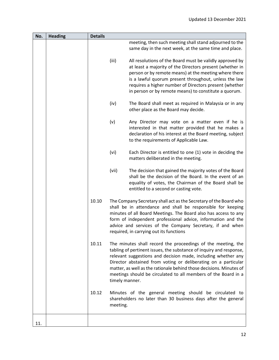| No. | <b>Heading</b> | <b>Details</b> |                |                                                                                                                                                                                                                                                                                                                                                                                                                 |
|-----|----------------|----------------|----------------|-----------------------------------------------------------------------------------------------------------------------------------------------------------------------------------------------------------------------------------------------------------------------------------------------------------------------------------------------------------------------------------------------------------------|
|     |                |                |                | meeting, then such meeting shall stand adjourned to the<br>same day in the next week, at the same time and place.                                                                                                                                                                                                                                                                                               |
|     |                |                | (iii)          | All resolutions of the Board must be validly approved by<br>at least a majority of the Directors present (whether in<br>person or by remote means) at the meeting where there<br>is a lawful quorum present throughout, unless the law<br>requires a higher number of Directors present (whether<br>in person or by remote means) to constitute a quorum.                                                       |
|     |                |                | (iv)           | The Board shall meet as required in Malaysia or in any<br>other place as the Board may decide.                                                                                                                                                                                                                                                                                                                  |
|     |                |                | (v)            | Any Director may vote on a matter even if he is<br>interested in that matter provided that he makes a<br>declaration of his interest at the Board meeting, subject<br>to the requirements of Applicable Law.                                                                                                                                                                                                    |
|     |                |                | (vi)           | Each Director is entitled to one (1) vote in deciding the<br>matters deliberated in the meeting.                                                                                                                                                                                                                                                                                                                |
|     |                |                | (vii)          | The decision that gained the majority votes of the Board<br>shall be the decision of the Board. In the event of an<br>equality of votes, the Chairman of the Board shall be<br>entitled to a second or casting vote.                                                                                                                                                                                            |
|     |                | 10.10          |                | The Company Secretary shall act as the Secretary of the Board who<br>shall be in attendance and shall be responsible for keeping<br>minutes of all Board Meetings. The Board also has access to any<br>form of independent professional advice, information and the<br>advice and services of the Company Secretary, if and when<br>required, in carrying out its functions                                     |
|     |                | 10.11          | timely manner. | The minutes shall record the proceedings of the meeting, the<br>tabling of pertinent issues, the substance of inquiry and response,<br>relevant suggestions and decision made, including whether any<br>Director abstained from voting or deliberating on a particular<br>matter, as well as the rationale behind those decisions. Minutes of<br>meetings should be circulated to all members of the Board in a |
|     |                | 10.12          | meeting.       | Minutes of the general meeting should be circulated to<br>shareholders no later than 30 business days after the general                                                                                                                                                                                                                                                                                         |
| 11. |                |                |                |                                                                                                                                                                                                                                                                                                                                                                                                                 |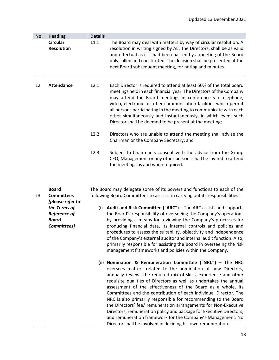| No. | <b>Heading</b>                                                                                                              | <b>Details</b>                                                                                                                                                                                                                                                                                                                                                                                                                                                                                                                                                                                                                                                                                                                                       |  |  |
|-----|-----------------------------------------------------------------------------------------------------------------------------|------------------------------------------------------------------------------------------------------------------------------------------------------------------------------------------------------------------------------------------------------------------------------------------------------------------------------------------------------------------------------------------------------------------------------------------------------------------------------------------------------------------------------------------------------------------------------------------------------------------------------------------------------------------------------------------------------------------------------------------------------|--|--|
|     | <b>Circular</b><br><b>Resolution</b>                                                                                        | 11.1<br>The Board may deal with matters by way of circular resolution. A<br>resolution in writing signed by ALL the Directors, shall be as valid<br>and effectual as if it had been passed by a meeting of the Board<br>duly called and constituted. The decision shall be presented at the<br>next Board subsequent meeting, for noting and minutes.                                                                                                                                                                                                                                                                                                                                                                                                |  |  |
| 12. | <b>Attendance</b>                                                                                                           | 12.1<br>Each Director is required to attend at least 50% of the total board<br>meetings held in each financial year. The Directors of the Company<br>may attend the Board meetings in conference via telephone,<br>video, electronic or other communication facilities which permit<br>all persons participating in the meeting to communicate with each<br>other simultaneously and instantaneously, in which event such<br>Director shall be deemed to be present at the meeting;                                                                                                                                                                                                                                                                  |  |  |
|     |                                                                                                                             | 12.2<br>Directors who are unable to attend the meeting shall advise the<br>Chairman or the Company Secretary; and                                                                                                                                                                                                                                                                                                                                                                                                                                                                                                                                                                                                                                    |  |  |
|     |                                                                                                                             | Subject to Chairman's consent with the advice from the Group<br>12.3<br>CEO, Management or any other persons shall be invited to attend<br>the meetings as and when required.                                                                                                                                                                                                                                                                                                                                                                                                                                                                                                                                                                        |  |  |
| 13. | <b>Board</b><br><b>Committees</b><br>[please refer to<br>the Terms of<br><b>Reference of</b><br><b>Board</b><br>Committees] | The Board may delegate some of its powers and functions to each of the<br>following Board Committees to assist it in carrying out its responsibilities:<br>(i) Audit and Risk Committee ("ARC") $-$ The ARC assists and supports<br>the Board's responsibility of overseeing the Company's operations<br>by providing a means for reviewing the Company's processes for<br>producing financial data, its internal controls and policies and<br>procedures to assess the suitability, objectivity and independence<br>of the Company's external auditor and internal audit function. Also,<br>primarily responsible for assisting the Board in overseeing the risk<br>management frameworks and policies within the Company.                          |  |  |
|     |                                                                                                                             | (ii) Nomination & Remuneration Committee ("NRC") - The NRC<br>oversees matters related to the nomination of new Directors,<br>annually reviews the required mix of skills, experience and other<br>requisite qualities of Directors as well as undertakes the annual<br>assessment of the effectiveness of the Board as a whole, its<br>Committees and the contribution of each individual Director. The<br>NRC is also primarily responsible for recommending to the Board<br>the Directors' fee/ remuneration arrangements for Non-Executive<br>Directors, remuneration policy and package for Executive Directors,<br>and remuneration framework for the Company's Management. No<br>Director shall be involved in deciding his own remuneration. |  |  |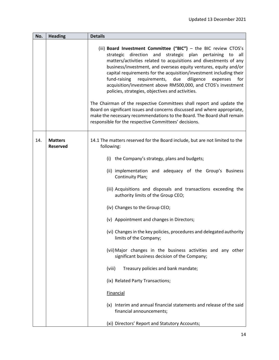| No. | <b>Heading</b>                    | <b>Details</b>                                                                                                                                                                                                                                                                                                                                                                                                                                                                                                                                                                                                                                                                                                                                                                                                                      |
|-----|-----------------------------------|-------------------------------------------------------------------------------------------------------------------------------------------------------------------------------------------------------------------------------------------------------------------------------------------------------------------------------------------------------------------------------------------------------------------------------------------------------------------------------------------------------------------------------------------------------------------------------------------------------------------------------------------------------------------------------------------------------------------------------------------------------------------------------------------------------------------------------------|
|     |                                   | (iii) Board Investment Committee ("BIC") - the BIC review CTOS's<br>strategic direction and strategic plan pertaining to all<br>matters/activities related to acquisitions and divestments of any<br>business/investment, and overseas equity ventures, equity and/or<br>capital requirements for the acquisition/investment including their<br>fund-raising<br>requirements,<br>due<br>diligence<br>for<br>expenses<br>acquisition/investment above RM500,000, and CTOS's investment<br>policies, strategies, objectives and activities.<br>The Chairman of the respective Committees shall report and update the<br>Board on significant issues and concerns discussed and where appropriate,<br>make the necessary recommendations to the Board. The Board shall remain<br>responsible for the respective Committees' decisions. |
| 14. | <b>Matters</b><br><b>Reserved</b> | 14.1 The matters reserved for the Board include, but are not limited to the<br>following:                                                                                                                                                                                                                                                                                                                                                                                                                                                                                                                                                                                                                                                                                                                                           |
|     |                                   | (i) the Company's strategy, plans and budgets;                                                                                                                                                                                                                                                                                                                                                                                                                                                                                                                                                                                                                                                                                                                                                                                      |
|     |                                   | (ii) implementation and adequacy of the Group's Business<br>Continuity Plan;                                                                                                                                                                                                                                                                                                                                                                                                                                                                                                                                                                                                                                                                                                                                                        |
|     |                                   | (iii) Acquisitions and disposals and transactions exceeding the<br>authority limits of the Group CEO;                                                                                                                                                                                                                                                                                                                                                                                                                                                                                                                                                                                                                                                                                                                               |
|     |                                   | (iv) Changes to the Group CEO;                                                                                                                                                                                                                                                                                                                                                                                                                                                                                                                                                                                                                                                                                                                                                                                                      |
|     |                                   | (v) Appointment and changes in Directors;                                                                                                                                                                                                                                                                                                                                                                                                                                                                                                                                                                                                                                                                                                                                                                                           |
|     |                                   | (vi) Changes in the key policies, procedures and delegated authority<br>limits of the Company;                                                                                                                                                                                                                                                                                                                                                                                                                                                                                                                                                                                                                                                                                                                                      |
|     |                                   | (vii) Major changes in the business activities and any other<br>significant business decision of the Company;                                                                                                                                                                                                                                                                                                                                                                                                                                                                                                                                                                                                                                                                                                                       |
|     |                                   | Treasury policies and bank mandate;<br>(viii)                                                                                                                                                                                                                                                                                                                                                                                                                                                                                                                                                                                                                                                                                                                                                                                       |
|     |                                   | (ix) Related Party Transactions;                                                                                                                                                                                                                                                                                                                                                                                                                                                                                                                                                                                                                                                                                                                                                                                                    |
|     |                                   | <b>Financial</b>                                                                                                                                                                                                                                                                                                                                                                                                                                                                                                                                                                                                                                                                                                                                                                                                                    |
|     |                                   | (x) Interim and annual financial statements and release of the said<br>financial announcements;                                                                                                                                                                                                                                                                                                                                                                                                                                                                                                                                                                                                                                                                                                                                     |
|     |                                   | (xi) Directors' Report and Statutory Accounts;                                                                                                                                                                                                                                                                                                                                                                                                                                                                                                                                                                                                                                                                                                                                                                                      |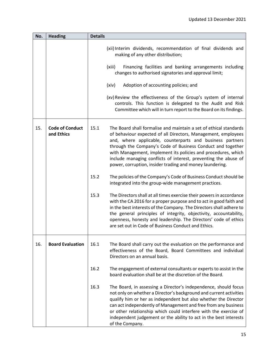| No. | <b>Heading</b>                       | <b>Details</b>                                                                                                                                                                                                                                                                                                                                                                                                                                                         |
|-----|--------------------------------------|------------------------------------------------------------------------------------------------------------------------------------------------------------------------------------------------------------------------------------------------------------------------------------------------------------------------------------------------------------------------------------------------------------------------------------------------------------------------|
|     |                                      | (xii) Interim dividends, recommendation of final dividends and<br>making of any other distribution;                                                                                                                                                                                                                                                                                                                                                                    |
|     |                                      | (xiii)<br>Financing facilities and banking arrangements including<br>changes to authorised signatories and approval limit;                                                                                                                                                                                                                                                                                                                                             |
|     |                                      | Adoption of accounting policies; and<br>(xiv)                                                                                                                                                                                                                                                                                                                                                                                                                          |
|     |                                      | (xv) Review the effectiveness of the Group's system of internal<br>controls. This function is delegated to the Audit and Risk<br>Committee which will in turn report to the Board on its findings.                                                                                                                                                                                                                                                                     |
| 15. | <b>Code of Conduct</b><br>and Ethics | 15.1<br>The Board shall formalise and maintain a set of ethical standards<br>of behaviour expected of all Directors, Management, employees<br>and, where applicable, counterparts and business partners<br>through the Company's Code of Business Conduct and together<br>with Management, implement its policies and procedures, which<br>include managing conflicts of interest, preventing the abuse of<br>power, corruption, insider trading and money laundering. |
|     |                                      | 15.2<br>The policies of the Company's Code of Business Conduct should be<br>integrated into the group-wide management practices.                                                                                                                                                                                                                                                                                                                                       |
|     |                                      | 15.3<br>The Directors shall at all times exercise their powers in accordance<br>with the CA 2016 for a proper purpose and to act in good faith and<br>in the best interests of the Company. The Directors shall adhere to<br>the general principles of integrity, objectivity, accountability,<br>openness, honesty and leadership. The Directors' code of ethics<br>are set out in Code of Business Conduct and Ethics.                                               |
| 16. | <b>Board Evaluation</b>              | 16.1<br>The Board shall carry out the evaluation on the performance and<br>effectiveness of the Board, Board Committees and individual<br>Directors on an annual basis.                                                                                                                                                                                                                                                                                                |
|     |                                      | The engagement of external consultants or experts to assist in the<br>16.2<br>board evaluation shall be at the discretion of the Board.                                                                                                                                                                                                                                                                                                                                |
|     |                                      | 16.3<br>The Board, in assessing a Director's independence, should focus<br>not only on whether a Director's background and current activities<br>qualify him or her as independent but also whether the Director<br>can act independently of Management and free from any business<br>or other relationship which could interfere with the exercise of<br>independent judgement or the ability to act in the best interests<br>of the Company.                         |